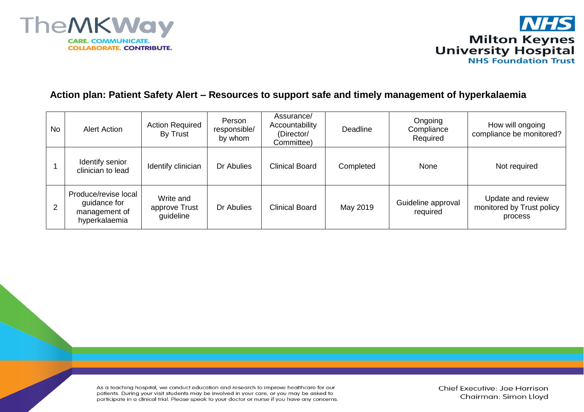



## **Action plan: Patient Safety Alert – Resources to support safe and timely management of hyperkalaemia**

| <b>No</b> | <b>Alert Action</b>                                                    | <b>Action Required</b><br>By Trust      | Person<br>responsible/<br>by whom | Assurance/<br>Accountability<br>(Director/<br>Committee) | Deadline  | Ongoing<br>Compliance<br>Required | How will ongoing<br>compliance be monitored?              |
|-----------|------------------------------------------------------------------------|-----------------------------------------|-----------------------------------|----------------------------------------------------------|-----------|-----------------------------------|-----------------------------------------------------------|
|           | Identify senior<br>clinician to lead                                   | Identify clinician                      | Dr Abulies                        | Clinical Board                                           | Completed | None                              | Not required                                              |
| 2         | Produce/revise local<br>guidance for<br>management of<br>hyperkalaemia | Write and<br>approve Trust<br>guideline | Dr Abulies                        | <b>Clinical Board</b>                                    | May 2019  | Guideline approval<br>required    | Update and review<br>monitored by Trust policy<br>process |

As a teaching hospital, we conduct education and research to improve healthcare for our patients. During your visit students may be involved in your care, or you may be asked to participate in a clinical trial. Please speak to your doctor or nurse if you have any concerns.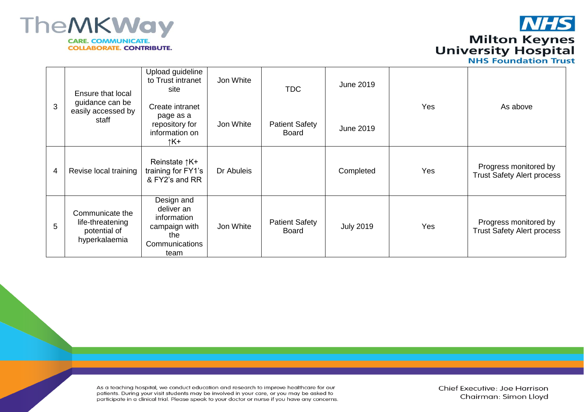

**NHS Milton Keynes<br>University Hospital<br>NHS Foundation Trust** 

| 3 | Ensure that local<br>guidance can be<br>easily accessed by<br>staff  | Upload guideline<br>to Trust intranet<br>site                                             | Jon White  | <b>TDC</b>                     | <b>June 2019</b> | Yes | As above                                                   |
|---|----------------------------------------------------------------------|-------------------------------------------------------------------------------------------|------------|--------------------------------|------------------|-----|------------------------------------------------------------|
|   |                                                                      | Create intranet<br>page as a<br>repository for<br>information on<br>↑K+                   | Jon White  | <b>Patient Safety</b><br>Board | <b>June 2019</b> |     |                                                            |
| 4 | Revise local training                                                | Reinstate ↑K+<br>training for FY1's<br>& FY2's and RR                                     | Dr Abuleis |                                | Completed        | Yes | Progress monitored by<br><b>Trust Safety Alert process</b> |
| 5 | Communicate the<br>life-threatening<br>potential of<br>hyperkalaemia | Design and<br>deliver an<br>information<br>campaign with<br>the<br>Communications<br>team | Jon White  | <b>Patient Safety</b><br>Board | <b>July 2019</b> | Yes | Progress monitored by<br><b>Trust Safety Alert process</b> |

As a teaching hospital, we conduct education and research to improve healthcare for our patients. During your visit students may be involved in your care, or you may be asked to participate in a clinical trial. Please speak to your doctor or nurse if you have any concerns. Chief Executive: Joe Harrison Chairman: Simon Lloyd